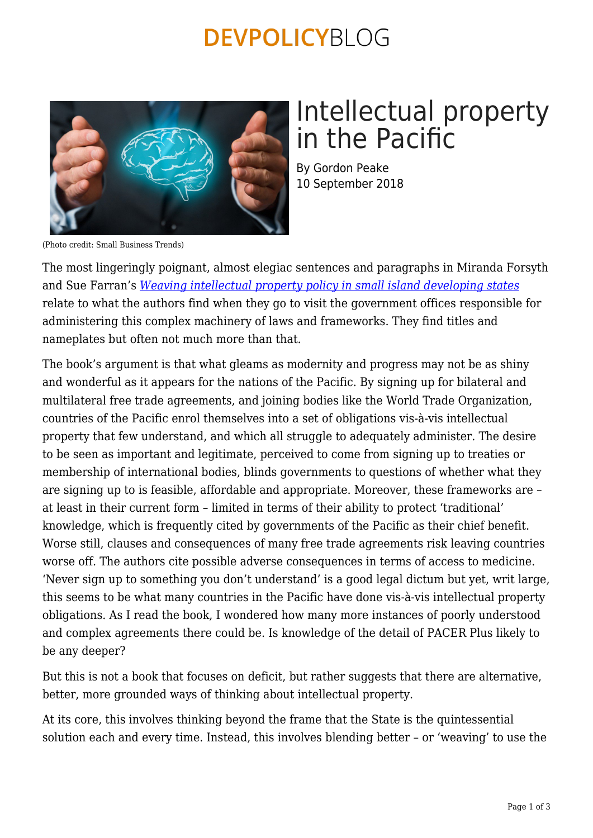### **DEVPOLICYBLOG**



# Intellectual property in the Pacific

By Gordon Peake 10 September 2018

(Photo credit: Small Business Trends)

The most lingeringly poignant, almost elegiac sentences and paragraphs in Miranda Forsyth and Sue Farran's *[Weaving intellectual property policy in small island developing states](https://intersentia.com/en/weaving-intellectual-property-policy-in-small-island-developing-states.html)* relate to what the authors find when they go to visit the government offices responsible for administering this complex machinery of laws and frameworks. They find titles and nameplates but often not much more than that.

The book's argument is that what gleams as modernity and progress may not be as shiny and wonderful as it appears for the nations of the Pacific. By signing up for bilateral and multilateral free trade agreements, and joining bodies like the World Trade Organization, countries of the Pacific enrol themselves into a set of obligations vis-à-vis intellectual property that few understand, and which all struggle to adequately administer. The desire to be seen as important and legitimate, perceived to come from signing up to treaties or membership of international bodies, blinds governments to questions of whether what they are signing up to is feasible, affordable and appropriate. Moreover, these frameworks are – at least in their current form – limited in terms of their ability to protect 'traditional' knowledge, which is frequently cited by governments of the Pacific as their chief benefit. Worse still, clauses and consequences of many free trade agreements risk leaving countries worse off. The authors cite possible adverse consequences in terms of access to medicine. 'Never sign up to something you don't understand' is a good legal dictum but yet, writ large, this seems to be what many countries in the Pacific have done vis-à-vis intellectual property obligations. As I read the book, I wondered how many more instances of poorly understood and complex agreements there could be. Is knowledge of the detail of PACER Plus likely to be any deeper?

But this is not a book that focuses on deficit, but rather suggests that there are alternative, better, more grounded ways of thinking about intellectual property.

At its core, this involves thinking beyond the frame that the State is the quintessential solution each and every time. Instead, this involves blending better – or 'weaving' to use the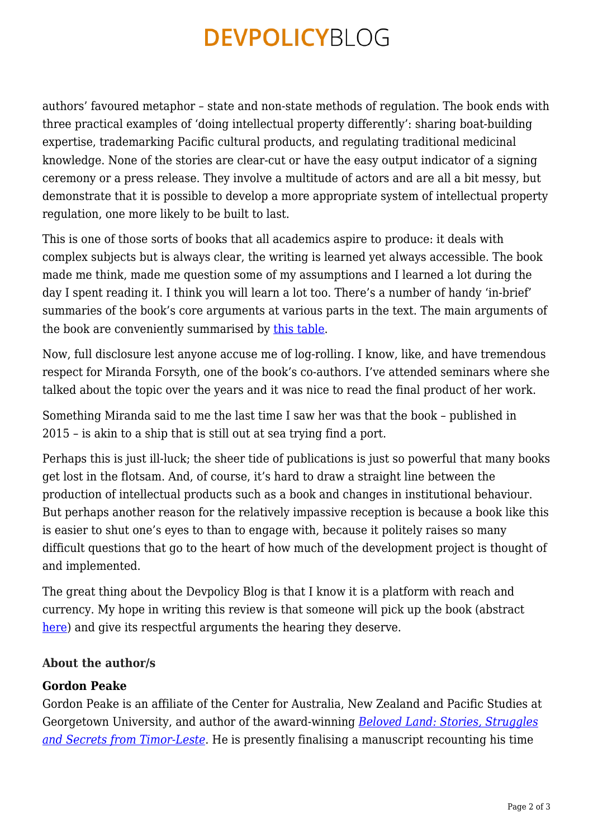## **DEVPOLICYBLOG**

authors' favoured metaphor – state and non-state methods of regulation. The book ends with three practical examples of 'doing intellectual property differently': sharing boat-building expertise, trademarking Pacific cultural products, and regulating traditional medicinal knowledge. None of the stories are clear-cut or have the easy output indicator of a signing ceremony or a press release. They involve a multitude of actors and are all a bit messy, but demonstrate that it is possible to develop a more appropriate system of intellectual property regulation, one more likely to be built to last.

This is one of those sorts of books that all academics aspire to produce: it deals with complex subjects but is always clear, the writing is learned yet always accessible. The book made me think, made me question some of my assumptions and I learned a lot during the day I spent reading it. I think you will learn a lot too. There's a number of handy 'in-brief' summaries of the book's core arguments at various parts in the text. The main arguments of the book are conveniently summarised by [this table.](https://devpolicy.org/pdf/blog/Existing.v.new-or-emerging-paradigm.JPG)

Now, full disclosure lest anyone accuse me of log-rolling. I know, like, and have tremendous respect for Miranda Forsyth, one of the book's co-authors. I've attended seminars where she talked about the topic over the years and it was nice to read the final product of her work.

Something Miranda said to me the last time I saw her was that the book – published in 2015 – is akin to a ship that is still out at sea trying find a port.

Perhaps this is just ill-luck; the sheer tide of publications is just so powerful that many books get lost in the flotsam. And, of course, it's hard to draw a straight line between the production of intellectual products such as a book and changes in institutional behaviour. But perhaps another reason for the relatively impassive reception is because a book like this is easier to shut one's eyes to than to engage with, because it politely raises so many difficult questions that go to the heart of how much of the development project is thought of and implemented.

The great thing about the Devpolicy Blog is that I know it is a platform with reach and currency. My hope in writing this review is that someone will pick up the book (abstract [here](https://www.academia.edu/37193760/WEAVING_INTELLECTUAL_PROPERTY_POLICY_IN_SMALL_ISLAND_DEVELOPING_STATES)) and give its respectful arguments the hearing they deserve.

#### **About the author/s**

#### **Gordon Peake**

Gordon Peake is an affiliate of the Center for Australia, New Zealand and Pacific Studies at Georgetown University, and author of the award-winning *[Beloved Land: Stories, Struggles](https://scribepublications.com.au/books-authors/books/beloved-land-9781922070685) [and Secrets from Timor-Leste](https://scribepublications.com.au/books-authors/books/beloved-land-9781922070685)*. He is presently finalising a manuscript recounting his time